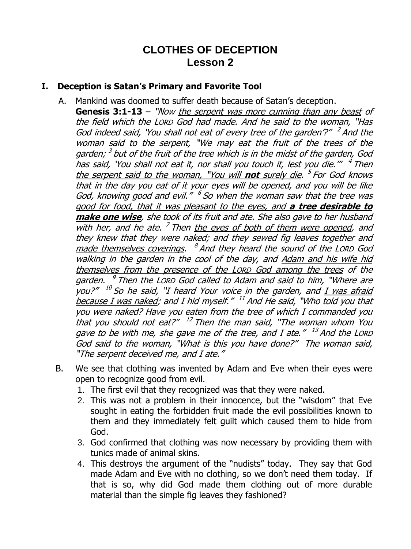# **CLOTHES OF DECEPTION Lesson 2**

#### **I. Deception is Satan's Primary and Favorite Tool**

- A. Mankind was doomed to suffer death because of Satan's deception. **Genesis 3:1-13** – "Now the serpent was more cunning than any beast of the field which the LORD God had made. And he said to the woman, "Has God indeed said, 'You shall not eat of every tree of the garden'?" <sup>2</sup> And the woman said to the serpent, "We may eat the fruit of the trees of the garden;<sup>3</sup> but of the fruit of the tree which is in the midst of the garden, God has said, 'You shall not eat it, nor shall you touch it, lest you die.''" <sup>4</sup> Then the serpent said to the woman, "You will **not** surely die. 5 For God knows that in the day you eat of it your eyes will be opened, and you will be like God, knowing good and evil." <sup>6</sup> So when the woman saw that the tree was good for food, that it was pleasant to the eyes, and **a tree desirable to make one wise**, she took of its fruit and ate. She also gave to her husband with her, and he ate.<sup>7</sup> Then the eyes of both of them were opened, and they knew that they were naked; and they sewed fig leaves together and <u>made themselves coverings</u>. <sup>8</sup> And they heard the sound of the Lorp God walking in the garden in the cool of the day, and Adam and his wife hid themselves from the presence of the LORD God among the trees of the garden. <sup>9</sup> Then the Lorp God called to Adam and said to him, "Where are you?" <sup>10</sup> So he said, "I heard Your voice in the garden, and <u>I was afraid</u> <u>because I was naked</u>; and I hid myself." <sup>11</sup> And He said, "Who told you that you were naked? Have you eaten from the tree of which I commanded you that you should not eat?" <sup>12</sup> Then the man said, "The woman whom You gave to be with me, she gave me of the tree, and I ate." <sup>13</sup> And the Lord God said to the woman, "What is this you have done?" The woman said, "The serpent deceived me, and I ate."
- B. We see that clothing was invented by Adam and Eve when their eyes were open to recognize good from evil.
	- 1. The first evil that they recognized was that they were naked.
	- 2. This was not a problem in their innocence, but the "wisdom" that Eve sought in eating the forbidden fruit made the evil possibilities known to them and they immediately felt guilt which caused them to hide from God.
	- 3. God confirmed that clothing was now necessary by providing them with tunics made of animal skins.
	- 4. This destroys the argument of the "nudists" today. They say that God made Adam and Eve with no clothing, so we don't need them today. If that is so, why did God made them clothing out of more durable material than the simple fig leaves they fashioned?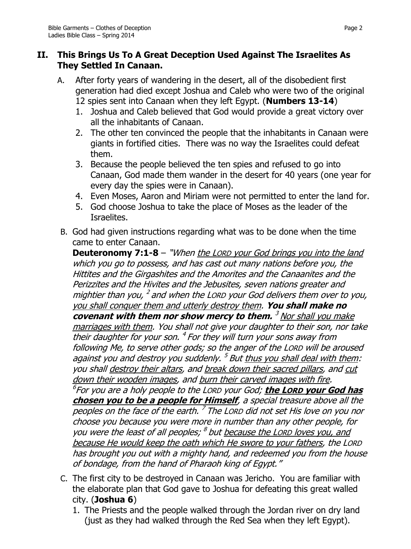### **II. This Brings Us To A Great Deception Used Against The Israelites As They Settled In Canaan.**

- A. After forty years of wandering in the desert, all of the disobedient first generation had died except Joshua and Caleb who were two of the original 12 spies sent into Canaan when they left Egypt. (**Numbers 13-14**)
	- 1. Joshua and Caleb believed that God would provide a great victory over all the inhabitants of Canaan.
	- 2. The other ten convinced the people that the inhabitants in Canaan were giants in fortified cities. There was no way the Israelites could defeat them.
	- 3. Because the people believed the ten spies and refused to go into Canaan, God made them wander in the desert for 40 years (one year for every day the spies were in Canaan).
	- 4. Even Moses, Aaron and Miriam were not permitted to enter the land for.
	- 5. God choose Joshua to take the place of Moses as the leader of the Israelites.
- B. God had given instructions regarding what was to be done when the time came to enter Canaan.

**Deuteronomy 7:1-8** – "When the LORD your God brings you into the land which you go to possess, and has cast out many nations before you, the Hittites and the Girgashites and the Amorites and the Canaanites and the Perizzites and the Hivites and the Jebusites, seven nations greater and mightier than you, <sup>2</sup> and when the Lorp your God delivers them over to you, you shall conquer them and utterly destroy them. **You shall make no covenant with them nor show mercy to them.** <sup>3</sup> Nor shall you make marriages with them. You shall not give your daughter to their son, nor take their daughter for your son. <sup>4</sup> For they will turn your sons away from following Me, to serve other gods; so the anger of the LORD will be aroused against you and destroy you suddenly. <sup>5</sup> But <u>thus you shall deal with them</u>: you shall destroy their altars, and break down their sacred pillars, and cut down their wooden images, and burn their carved images with fire. 6 For you are a holy people to the LORD your God; **the LORD your God has chosen you to be a people for Himself**, a special treasure above all the peoples on the face of the earth. <sup>7</sup> The Lorp did not set His love on you nor choose you because you were more in number than any other people, for you were the least of all peoples; <sup>8</sup> but because the LORD loves you, and because He would keep the oath which He swore to your fathers, the LORD has brought you out with a mighty hand, and redeemed you from the house of bondage, from the hand of Pharaoh king of Egypt."

- C. The first city to be destroyed in Canaan was Jericho. You are familiar with the elaborate plan that God gave to Joshua for defeating this great walled city. (**Joshua 6**)
	- 1. The Priests and the people walked through the Jordan river on dry land (just as they had walked through the Red Sea when they left Egypt).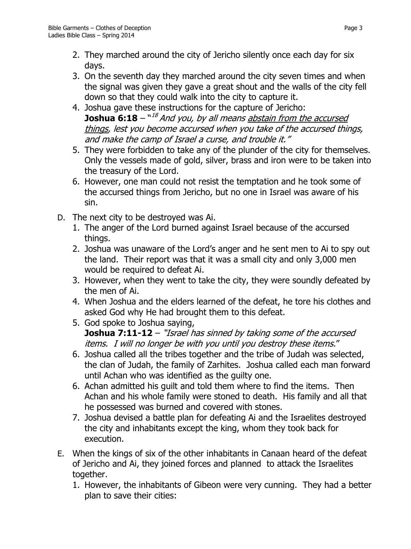- 2. They marched around the city of Jericho silently once each day for six days.
- 3. On the seventh day they marched around the city seven times and when the signal was given they gave a great shout and the walls of the city fell down so that they could walk into the city to capture it.
- 4. Joshua gave these instructions for the capture of Jericho: **Joshua 6:18** –  $18$  –  $18$  and you, by all means abstain from the accursed things, lest you become accursed when you take of the accursed things, and make the camp of Israel a curse, and trouble it."
- 5. They were forbidden to take any of the plunder of the city for themselves. Only the vessels made of gold, silver, brass and iron were to be taken into the treasury of the Lord.
- 6. However, one man could not resist the temptation and he took some of the accursed things from Jericho, but no one in Israel was aware of his sin.
- D. The next city to be destroyed was Ai.
	- 1. The anger of the Lord burned against Israel because of the accursed things.
	- 2. Joshua was unaware of the Lord's anger and he sent men to Ai to spy out the land. Their report was that it was a small city and only 3,000 men would be required to defeat Ai.
	- 3. However, when they went to take the city, they were soundly defeated by the men of Ai.
	- 4. When Joshua and the elders learned of the defeat, he tore his clothes and asked God why He had brought them to this defeat.
	- 5. God spoke to Joshua saying, **Joshua 7:11-12** – "Israel has sinned by taking some of the accursed items. I will no longer be with you until you destroy these items."
	- 6. Joshua called all the tribes together and the tribe of Judah was selected, the clan of Judah, the family of Zarhites. Joshua called each man forward until Achan who was identified as the guilty one.
	- 6. Achan admitted his guilt and told them where to find the items. Then Achan and his whole family were stoned to death. His family and all that he possessed was burned and covered with stones.
	- 7. Joshua devised a battle plan for defeating Ai and the Israelites destroyed the city and inhabitants except the king, whom they took back for execution.
- E. When the kings of six of the other inhabitants in Canaan heard of the defeat of Jericho and Ai, they joined forces and planned to attack the Israelites together.
	- 1. However, the inhabitants of Gibeon were very cunning. They had a better plan to save their cities: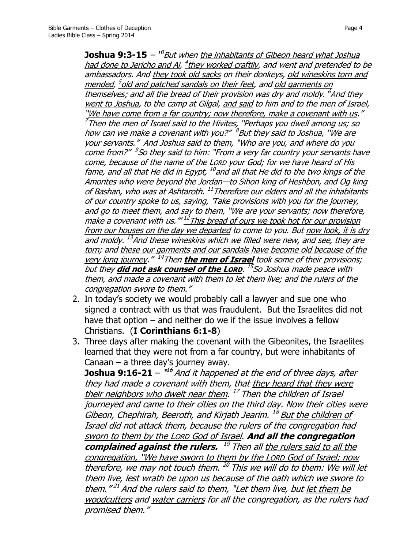**Joshua 9:3-15** – <sup>v3</sup>But when <u>the inhabitants of Gibeon heard what Joshua</u> <u>had done to Jericho and Ai</u>, <sup>4</sup>they worked craftily, and went and pretended to be ambassadors. And they took old sacks on their donkeys, old wineskins torn and mended, <sup>5</sup>old and patched sandals on their feet, and <u>old garments on</u> themselves; and all the bread of their provision was dry and moldy. <sup>6</sup>And <u>they</u> went to Joshua, to the camp at Gilgal, and said to him and to the men of Israel, "We have come from a far country; now therefore, make a covenant with us."  $^7$ Then the men of Israel said to the Hivites, "Perhaps you dwell among us; so how can we make a covenant with you?"  $^8$ But they said to Joshua, "We are your servants." And Joshua said to them, "Who are you, and where do you come from?" <sup>9</sup>So they said to him: "From a very far country your servants have come, because of the name of the LORD your God; for we have heard of His fame, and all that He did in Egypt, <sup>10</sup>and all that He did to the two kings of the Amorites who were beyond the Jordan—to Sihon king of Heshbon, and Og king of Bashan, who was at Ashtaroth. <sup>11</sup>Therefore our elders and all the inhabitants of our country spoke to us, saying, 'Take provisions with you for the journey, and go to meet them, and say to them, "We are your servants; now therefore, make a covenant with us."" <sup>12</sup>This bread of ours we took hot for our provision from our houses on the day we departed to come to you. But now look, it is dry <u>and moldy</u>. <sup>13</sup>And <u>these wineskins which we filled were new</u>, and <u>see, they are</u> torn; and these our garments and our sandals have become old because of the very long journey."<sup>14</sup>Then the men of Israel took some of their provisions; but they **did not ask counsel of the LORD**. 15 So Joshua made peace with them, and made a covenant with them to let them live; and the rulers of the congregation swore to them."

- 2. In today's society we would probably call a lawyer and sue one who signed a contract with us that was fraudulent. But the Israelites did not have that option – and neither do we if the issue involves a fellow Christians. (**I Corinthians 6:1-8**)
- 3. Three days after making the covenant with the Gibeonites, the Israelites learned that they were not from a far country, but were inhabitants of Canaan – a three day's journey away.

**Joshua 9:16-21** – "<sup>16</sup> And it happened at the end of three days, after they had made a covenant with them, that they heard that they were their neighbors who dwelt near them. <sup>17</sup> Then the children of Israel journeyed and came to their cities on the third day. Now their cities were Gibeon, Chephirah, Beeroth, and Kirjath Jearim. <sup>18</sup> But the children of Israel did not attack them, because the rulers of the congregation had sworn to them by the LORD God of Israel. **And all the congregation**  complained against the rulers. <sup>19</sup> Then all the rulers said to all the congregation, "We have sworn to them by the LORD God of Israel; now therefore, we may not touch them. <sup>20</sup> This we will do to them: We will let them live, lest wrath be upon us because of the oath which we swore to them."<sup>21</sup> And the rulers said to them, "Let them live, but <u>let them be</u> woodcutters and water carriers for all the congregation, as the rulers had promised them."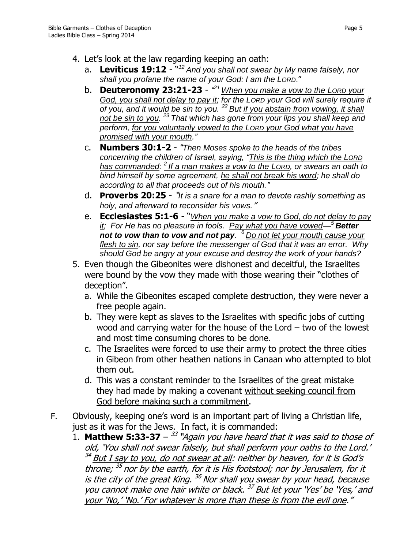- 4. Let's look at the law regarding keeping an oath:
	- a. **Leviticus 19:12** " *<sup>12</sup> And you shall not swear by My name falsely, nor shall you profane the name of your God: I am the LORD*."
	- b. **Deuteronomy 23:21-23** *" <sup>21</sup>When you make a vow to the LORD your God, you shall not delay to pay it; for the LORD your God will surely require it of you, and it would be sin to you. <sup>22</sup> But if you abstain from vowing, it shall not be sin to you. <sup>23</sup> That which has gone from your lips you shall keep and perform, for you voluntarily vowed to the LORD your God what you have promised with your mouth."*
	- c. **Numbers 30:1-2** *"Then Moses spoke to the heads of the tribes concerning the children of Israel, saying, "This is the thing which the LORD has commanded: <sup>2</sup> If a man makes a vow to the LORD, or swears an oath to bind himself by some agreement, he shall not break his word; he shall do according to all that proceeds out of his mouth."*
	- d. **Proverbs 20:25** "*It is a snare for a man to devote rashly something as holy, and afterward to reconsider his vows.*"
	- e. **Ecclesiastes 5:1-6** "*When you make a vow to God, do not delay to pay it; For He has no pleasure in fools. Pay what you have vowed—<sup>5</sup> Better not to vow than to vow and not pay. <sup>6</sup> Do not let your mouth cause your flesh to sin, nor say before the messenger of God that it was an error. Why should God be angry at your excuse and destroy the work of your hands?*
- 5. Even though the Gibeonites were dishonest and deceitful, the Israelites were bound by the vow they made with those wearing their "clothes of deception".
	- a. While the Gibeonites escaped complete destruction, they were never a free people again.
	- b. They were kept as slaves to the Israelites with specific jobs of cutting wood and carrying water for the house of the Lord – two of the lowest and most time consuming chores to be done.
	- c. The Israelites were forced to use their army to protect the three cities in Gibeon from other heathen nations in Canaan who attempted to blot them out.
	- d. This was a constant reminder to the Israelites of the great mistake they had made by making a covenant without seeking council from God before making such a commitment.
- F. Obviously, keeping one's word is an important part of living a Christian life, just as it was for the Jews. In fact, it is commanded:
	- 1. **Matthew 5:33-37** 33 "Again you have heard that it was said to those of old, 'You shall not swear falsely, but shall perform your oaths to the Lord.' <sup>34</sup> <u>But I say to you, do not swear at all</u>: neither by heaven, for it is God's throne; <sup>35</sup> nor by the earth, for it is His footstool; nor by Jerusalem, for it is the city of the great King. <sup>36</sup> Nor shall you swear by your head, because you cannot make one hair white or black.<sup>37</sup> But let your 'Yes' be 'Yes,' and your 'No,' 'No.' For whatever is more than these is from the evil one."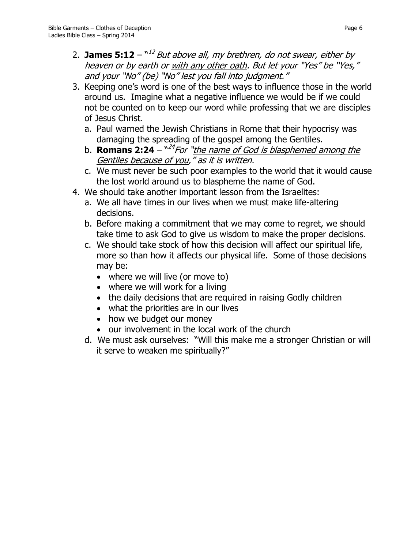- 3. Keeping one's word is one of the best ways to influence those in the world around us. Imagine what a negative influence we would be if we could not be counted on to keep our word while professing that we are disciples of Jesus Christ.
	- a. Paul warned the Jewish Christians in Rome that their hypocrisy was damaging the spreading of the gospel among the Gentiles.
	- b. **Romans 2:24** "<sup>24</sup> For "<u>the name of God is blasphemed among the</u> Gentiles because of you," as it is written.
	- c. We must never be such poor examples to the world that it would cause the lost world around us to blaspheme the name of God.
- 4. We should take another important lesson from the Israelites:
	- a. We all have times in our lives when we must make life-altering decisions.
	- b. Before making a commitment that we may come to regret, we should take time to ask God to give us wisdom to make the proper decisions.
	- c. We should take stock of how this decision will affect our spiritual life, more so than how it affects our physical life. Some of those decisions may be:
		- where we will live (or move to)
		- where we will work for a living
		- the daily decisions that are required in raising Godly children
		- what the priorities are in our lives
		- how we budget our money
		- our involvement in the local work of the church
	- d. We must ask ourselves: "Will this make me a stronger Christian or will it serve to weaken me spiritually?"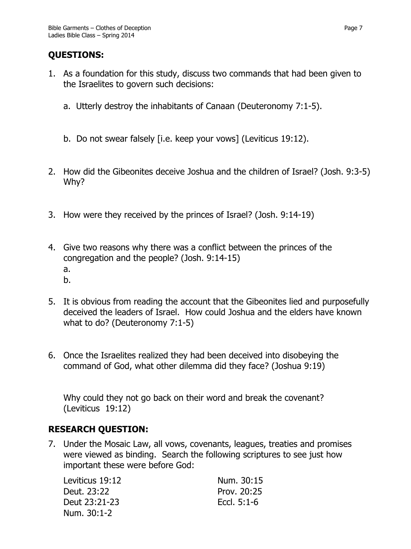## **QUESTIONS:**

- 1. As a foundation for this study, discuss two commands that had been given to the Israelites to govern such decisions:
	- a. Utterly destroy the inhabitants of Canaan (Deuteronomy 7:1-5).
	- b. Do not swear falsely [i.e. keep your vows] (Leviticus 19:12).
- 2. How did the Gibeonites deceive Joshua and the children of Israel? (Josh. 9:3-5) Why?
- 3. How were they received by the princes of Israel? (Josh. 9:14-19)
- 4. Give two reasons why there was a conflict between the princes of the congregation and the people? (Josh. 9:14-15) a. b.
- 5. It is obvious from reading the account that the Gibeonites lied and purposefully deceived the leaders of Israel. How could Joshua and the elders have known what to do? (Deuteronomy 7:1-5)
- 6. Once the Israelites realized they had been deceived into disobeying the command of God, what other dilemma did they face? (Joshua 9:19)

Why could they not go back on their word and break the covenant? (Leviticus 19:12)

## **RESEARCH QUESTION:**

7. Under the Mosaic Law, all vows, covenants, leagues, treaties and promises were viewed as binding. Search the following scriptures to see just how important these were before God:

| Leviticus 19:12 | Num. 30:15    |
|-----------------|---------------|
| Deut. 23:22     | Prov. 20:25   |
| Deut 23:21-23   | Eccl. $5:1-6$ |
| Num. 30:1-2     |               |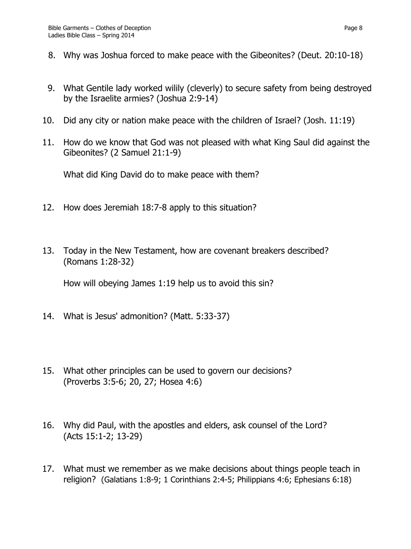- 8. Why was Joshua forced to make peace with the Gibeonites? (Deut. 20:10-18)
- 9. What Gentile lady worked wilily (cleverly) to secure safety from being destroyed by the Israelite armies? (Joshua 2:9-14)
- 10. Did any city or nation make peace with the children of Israel? (Josh. 11:19)
- 11. How do we know that God was not pleased with what King Saul did against the Gibeonites? (2 Samuel 21:1-9)

What did King David do to make peace with them?

- 12. How does Jeremiah 18:7-8 apply to this situation?
- 13. Today in the New Testament, how are covenant breakers described? (Romans 1:28-32)

How will obeying James 1:19 help us to avoid this sin?

- 14. What is Jesus' admonition? (Matt. 5:33-37)
- 15. What other principles can be used to govern our decisions? (Proverbs 3:5-6; 20, 27; Hosea 4:6)
- 16. Why did Paul, with the apostles and elders, ask counsel of the Lord? (Acts 15:1-2; 13-29)
- 17. What must we remember as we make decisions about things people teach in religion? (Galatians 1:8-9; 1 Corinthians 2:4-5; Philippians 4:6; Ephesians 6:18)